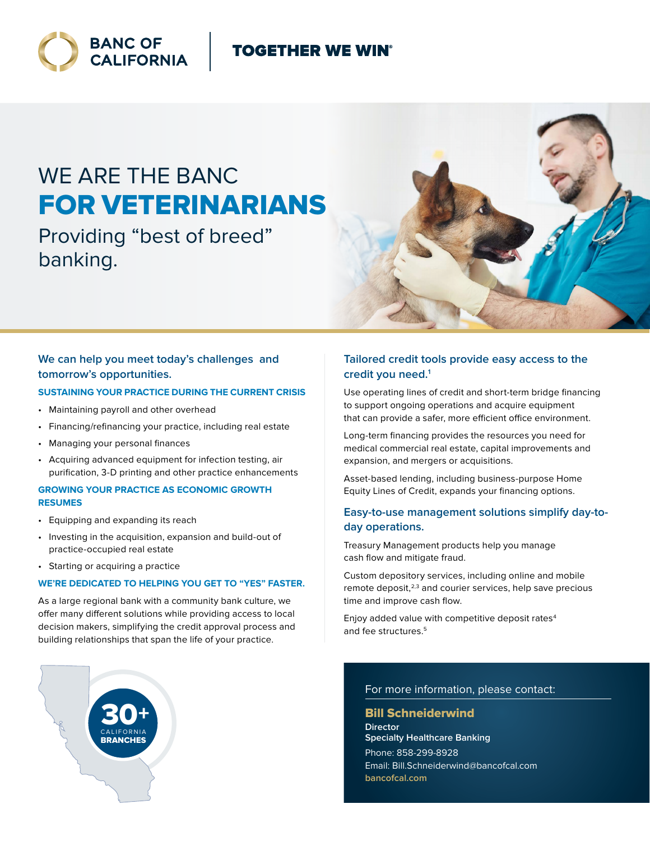# **TOGETHER WE WIN®**



# WE ARE THE BANC FOR VETERINARIANS

Providing "best of breed" banking.



# **We can help you meet today's challenges and tomorrow's opportunities.**

#### **SUSTAINING YOUR PRACTICE DURING THE CURRENT CRISIS**

- Maintaining payroll and other overhead
- Financing/refinancing your practice, including real estate
- Managing your personal finances
- Acquiring advanced equipment for infection testing, air purification, 3-D printing and other practice enhancements

#### **GROWING YOUR PRACTICE AS ECONOMIC GROWTH RESUMES**

- Equipping and expanding its reach
- Investing in the acquisition, expansion and build-out of practice-occupied real estate
- Starting or acquiring a practice

#### **WE'RE DEDICATED TO HELPING YOU GET TO "YES" FASTER.**

As a large regional bank with a community bank culture, we offer many different solutions while providing access to local decision makers, simplifying the credit approval process and building relationships that span the life of your practice.

# **Tailored credit tools provide easy access to the credit you need.1**

Use operating lines of credit and short-term bridge financing to support ongoing operations and acquire equipment that can provide a safer, more efficient office environment.

Long-term financing provides the resources you need for medical commercial real estate, capital improvements and expansion, and mergers or acquisitions.

Asset-based lending, including business-purpose Home Equity Lines of Credit, expands your financing options.

## **Easy-to-use management solutions simplify day-today operations.**

Treasury Management products help you manage cash flow and mitigate fraud.

Custom depository services, including online and mobile remote deposit, $2,3$  and courier services, help save precious time and improve cash flow.

Enjoy added value with competitive deposit rates<sup>4</sup> and fee structures.<sup>5</sup>

#### For more information, please contact:

#### Bill Schneiderwind

**Director Specialty Healthcare Banking** Phone: 858-299-8928 Email: Bill.Schneiderwind@bancofcal.com **bancofcal.com**